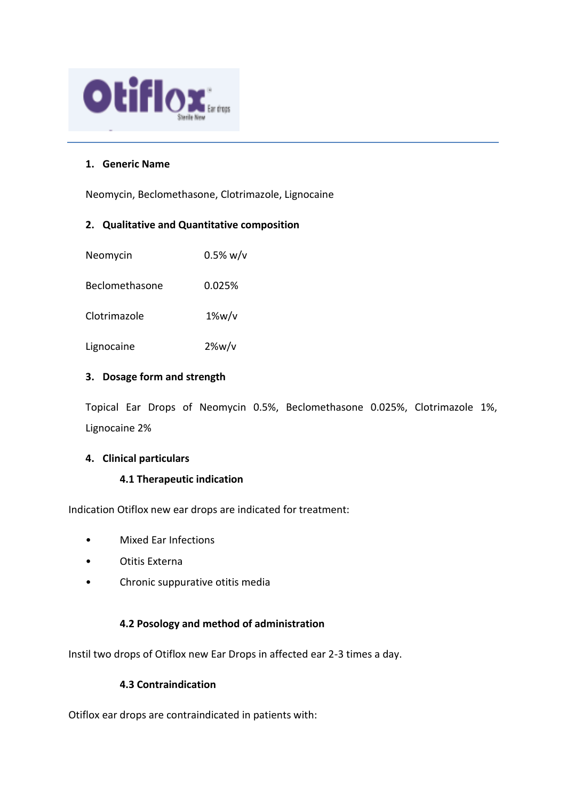

## **1. Generic Name**

Neomycin, Beclomethasone, Clotrimazole, Lignocaine

## **2. Qualitative and Quantitative composition**

| Neomycin       | $0.5\%$ w/v |
|----------------|-------------|
| Beclomethasone | 0.025%      |

Clotrimazole 1%w/v

Lignocaine 2%w/v

## **3. Dosage form and strength**

Topical Ear Drops of Neomycin 0.5%, Beclomethasone 0.025%, Clotrimazole 1%, Lignocaine 2%

# **4. Clinical particulars**

# **4.1 Therapeutic indication**

Indication Otiflox new ear drops are indicated for treatment:

- Mixed Ear Infections
- Otitis Externa
- Chronic suppurative otitis media

# **4.2 Posology and method of administration**

Instil two drops of Otiflox new Ear Drops in affected ear 2-3 times a day.

## **4.3 Contraindication**

Otiflox ear drops are contraindicated in patients with: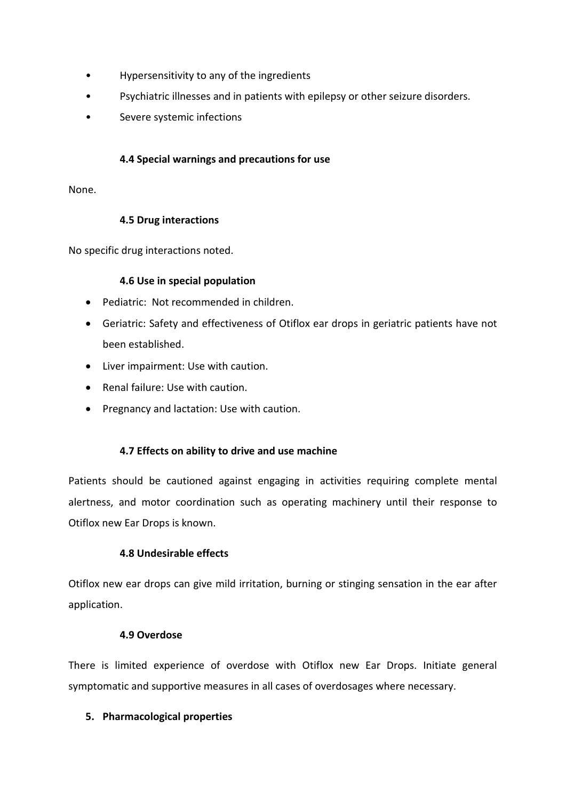- Hypersensitivity to any of the ingredients
- Psychiatric illnesses and in patients with epilepsy or other seizure disorders.
- Severe systemic infections

# **4.4 Special warnings and precautions for use**

None.

## **4.5 Drug interactions**

No specific drug interactions noted.

## **4.6 Use in special population**

- Pediatric: Not recommended in children.
- Geriatric: Safety and effectiveness of Otiflox ear drops in geriatric patients have not been established.
- Liver impairment: Use with caution.
- Renal failure: Use with caution.
- Pregnancy and lactation: Use with caution.

# **4.7 Effects on ability to drive and use machine**

Patients should be cautioned against engaging in activities requiring complete mental alertness, and motor coordination such as operating machinery until their response to Otiflox new Ear Drops is known.

# **4.8 Undesirable effects**

Otiflox new ear drops can give mild irritation, burning or stinging sensation in the ear after application.

## **4.9 Overdose**

There is limited experience of overdose with Otiflox new Ear Drops. Initiate general symptomatic and supportive measures in all cases of overdosages where necessary.

## **5. Pharmacological properties**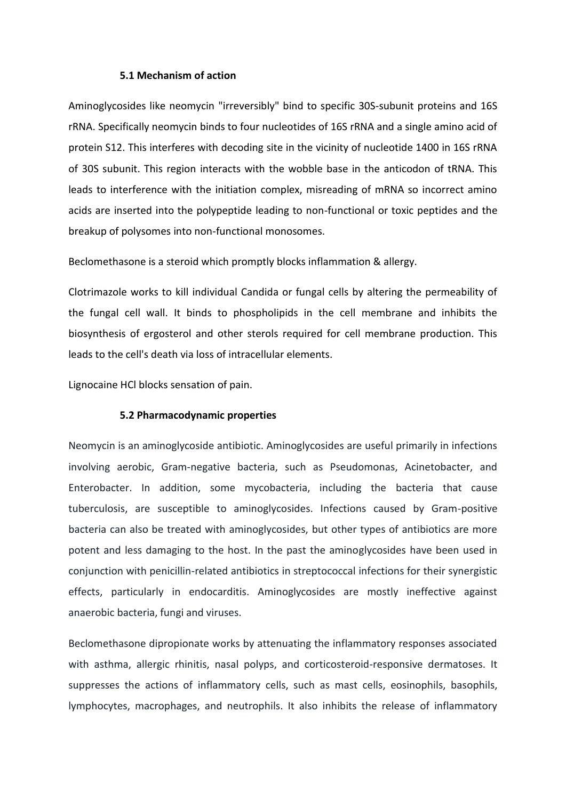## **5.1 Mechanism of action**

Aminoglycosides like neomycin "irreversibly" bind to specific 30S-subunit proteins and 16S rRNA. Specifically neomycin binds to four nucleotides of 16S rRNA and a single amino acid of protein S12. This interferes with decoding site in the vicinity of nucleotide 1400 in 16S rRNA of 30S subunit. This region interacts with the wobble base in the anticodon of tRNA. This leads to interference with the initiation complex, misreading of mRNA so incorrect amino acids are inserted into the polypeptide leading to non-functional or toxic peptides and the breakup of polysomes into non-functional monosomes.

Beclomethasone is a steroid which promptly blocks inflammation & allergy.

Clotrimazole works to kill individual Candida or fungal cells by altering the permeability of the fungal cell wall. It binds to phospholipids in the cell membrane and inhibits the biosynthesis of ergosterol and other sterols required for cell membrane production. This leads to the cell's death via loss of intracellular elements.

Lignocaine HCl blocks sensation of pain.

#### **5.2 Pharmacodynamic properties**

Neomycin is an aminoglycoside antibiotic. Aminoglycosides are useful primarily in infections involving aerobic, Gram-negative bacteria, such as Pseudomonas, Acinetobacter, and Enterobacter. In addition, some mycobacteria, including the bacteria that cause tuberculosis, are susceptible to aminoglycosides. Infections caused by Gram-positive bacteria can also be treated with aminoglycosides, but other types of antibiotics are more potent and less damaging to the host. In the past the aminoglycosides have been used in conjunction with penicillin-related antibiotics in streptococcal infections for their synergistic effects, particularly in endocarditis. Aminoglycosides are mostly ineffective against anaerobic bacteria, fungi and viruses.

Beclomethasone dipropionate works by attenuating the inflammatory responses associated with asthma, allergic rhinitis, nasal polyps, and corticosteroid-responsive dermatoses. It suppresses the actions of inflammatory cells, such as mast cells, eosinophils, basophils, lymphocytes, macrophages, and neutrophils. It also inhibits the release of inflammatory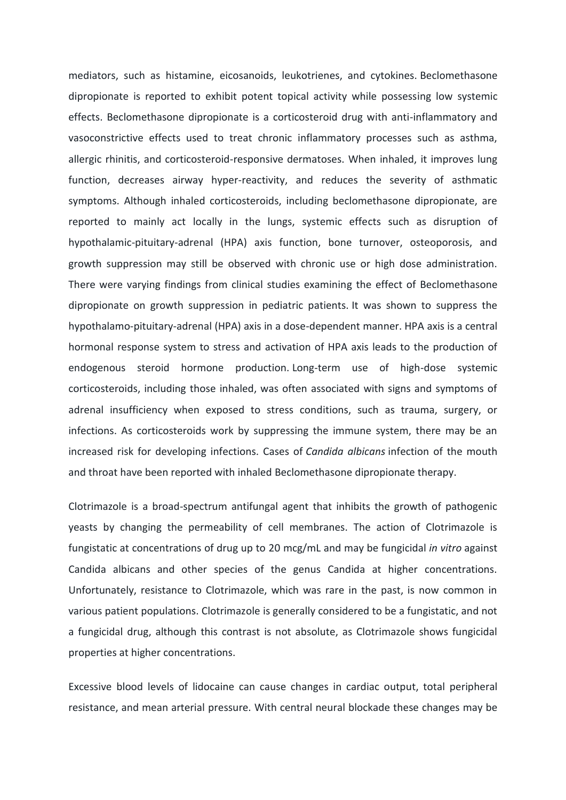mediators, such as histamine, eicosanoids, leukotrienes, and cytokines. Beclomethasone dipropionate is reported to exhibit potent topical activity while possessing low systemic effects. Beclomethasone dipropionate is a corticosteroid drug with anti-inflammatory and vasoconstrictive effects used to treat chronic inflammatory processes such as asthma, allergic rhinitis, and corticosteroid-responsive dermatoses. When inhaled, it improves lung function, decreases airway hyper-reactivity, and reduces the severity of asthmatic symptoms. Although inhaled corticosteroids, including beclomethasone dipropionate, are reported to mainly act locally in the lungs, systemic effects such as disruption of hypothalamic-pituitary-adrenal (HPA) axis function, bone turnover, osteoporosis, and growth suppression may still be observed with chronic use or high dose administration. There were varying findings from clinical studies examining the effect of Beclomethasone dipropionate on growth suppression in pediatric patients. It was shown to suppress the hypothalamo-pituitary-adrenal (HPA) axis in a dose-dependent manner. HPA axis is a central hormonal response system to stress and activation of HPA axis leads to the production of endogenous steroid hormone production. Long-term use of high-dose systemic corticosteroids, including those inhaled, was often associated with signs and symptoms of adrenal insufficiency when exposed to stress conditions, such as trauma, surgery, or infections. As corticosteroids work by suppressing the immune system, there may be an increased risk for developing infections. Cases of *Candida albicans* infection of the mouth and throat have been reported with inhaled Beclomethasone dipropionate therapy.

Clotrimazole is a broad-spectrum antifungal agent that inhibits the growth of pathogenic yeasts by changing the permeability of cell membranes. The action of Clotrimazole is fungistatic at concentrations of drug up to 20 mcg/mL and may be fungicidal *in vitro* against Candida albicans and other species of the genus Candida at higher concentrations. Unfortunately, resistance to Clotrimazole, which was rare in the past, is now common in various patient populations. Clotrimazole is generally considered to be a fungistatic, and not a fungicidal drug, although this contrast is not absolute, as Clotrimazole shows fungicidal properties at higher concentrations.

Excessive blood levels of lidocaine can cause changes in cardiac output, total peripheral resistance, and mean arterial pressure. With central neural blockade these changes may be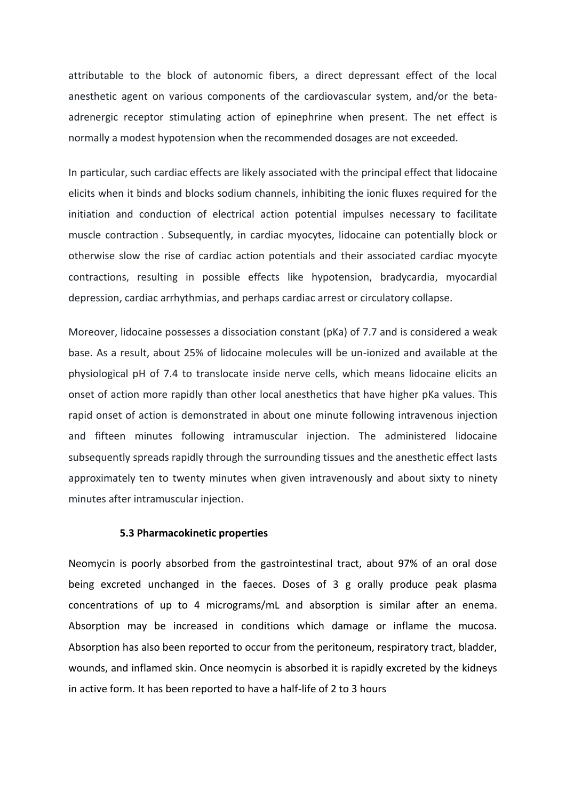attributable to the block of autonomic fibers, a direct depressant effect of the local anesthetic agent on various components of the cardiovascular system, and/or the betaadrenergic receptor stimulating action of epinephrine when present. The net effect is normally a modest hypotension when the recommended dosages are not exceeded.

In particular, such cardiac effects are likely associated with the principal effect that lidocaine elicits when it binds and blocks sodium channels, inhibiting the ionic fluxes required for the initiation and conduction of electrical action potential impulses necessary to facilitate muscle contraction . Subsequently, in cardiac myocytes, lidocaine can potentially block or otherwise slow the rise of cardiac action potentials and their associated cardiac myocyte contractions, resulting in possible effects like hypotension, bradycardia, myocardial depression, cardiac arrhythmias, and perhaps cardiac arrest or circulatory collapse.

Moreover, lidocaine possesses a dissociation constant (pKa) of 7.7 and is considered a weak base. As a result, about 25% of lidocaine molecules will be un-ionized and available at the physiological pH of 7.4 to translocate inside nerve cells, which means lidocaine elicits an onset of action more rapidly than other local anesthetics that have higher pKa values. This rapid onset of action is demonstrated in about one minute following intravenous injection and fifteen minutes following intramuscular injection. The administered lidocaine subsequently spreads rapidly through the surrounding tissues and the anesthetic effect lasts approximately ten to twenty minutes when given intravenously and about sixty to ninety minutes after intramuscular injection.

#### **5.3 Pharmacokinetic properties**

Neomycin is poorly absorbed from the gastrointestinal tract, about 97% of an oral dose being excreted unchanged in the faeces. Doses of 3 g orally produce peak plasma concentrations of up to 4 micrograms/mL and absorption is similar after an enema. Absorption may be increased in conditions which damage or inflame the mucosa. Absorption has also been reported to occur from the peritoneum, respiratory tract, bladder, wounds, and inflamed skin. Once neomycin is absorbed it is rapidly excreted by the kidneys in active form. It has been reported to have a half-life of 2 to 3 hours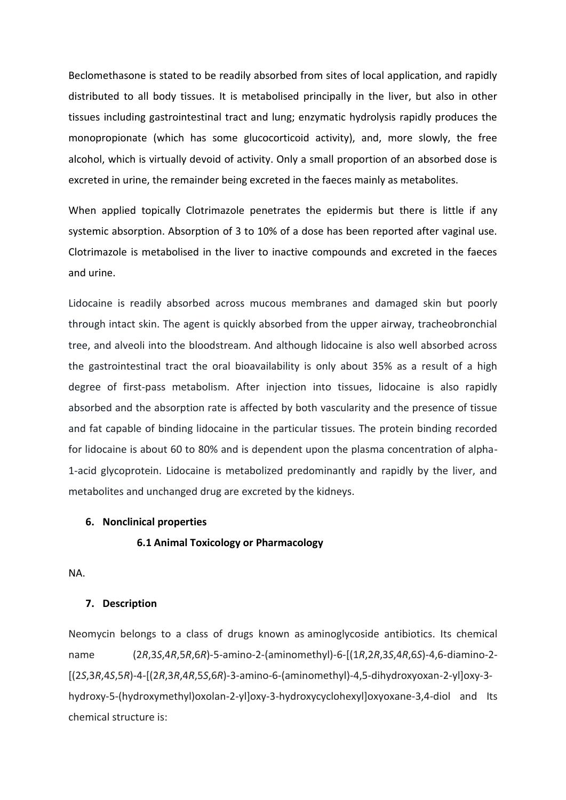Beclomethasone is stated to be readily absorbed from sites of local application, and rapidly distributed to all body tissues. It is metabolised principally in the liver, but also in other tissues including gastrointestinal tract and lung; enzymatic hydrolysis rapidly produces the monopropionate (which has some glucocorticoid activity), and, more slowly, the free alcohol, which is virtually devoid of activity. Only a small proportion of an absorbed dose is excreted in urine, the remainder being excreted in the faeces mainly as metabolites.

When applied topically Clotrimazole penetrates the epidermis but there is little if any systemic absorption. Absorption of 3 to 10% of a dose has been reported after vaginal use. Clotrimazole is metabolised in the liver to inactive compounds and excreted in the faeces and urine.

Lidocaine is readily absorbed across mucous membranes and damaged skin but poorly through intact skin. The agent is quickly absorbed from the upper airway, tracheobronchial tree, and alveoli into the bloodstream. And although lidocaine is also well absorbed across the gastrointestinal tract the oral bioavailability is only about 35% as a result of a high degree of first-pass metabolism. After injection into tissues, lidocaine is also rapidly absorbed and the absorption rate is affected by both vascularity and the presence of tissue and fat capable of binding lidocaine in the particular tissues. The protein binding recorded for lidocaine is about 60 to 80% and is dependent upon the plasma concentration of alpha-1-acid glycoprotein. Lidocaine is metabolized predominantly and rapidly by the liver, and metabolites and unchanged drug are excreted by the kidneys.

## **6. Nonclinical properties**

#### **6.1 Animal Toxicology or Pharmacology**

NA.

## **7. Description**

Neomycin belongs to a class of drugs known as aminoglycoside antibiotics. Its chemical name (2*R*,3*S*,4*R*,5*R*,6*R*)-5-amino-2-(aminomethyl)-6-[(1*R*,2*R*,3*S*,4*R*,6*S*)-4,6-diamino-2- [(2*S*,3*R*,4*S*,5*R*)-4-[(2*R*,3*R*,4*R*,5*S*,6*R*)-3-amino-6-(aminomethyl)-4,5-dihydroxyoxan-2-yl]oxy-3 hydroxy-5-(hydroxymethyl)oxolan-2-yl]oxy-3-hydroxycyclohexyl]oxyoxane-3,4-diol and Its chemical structure is: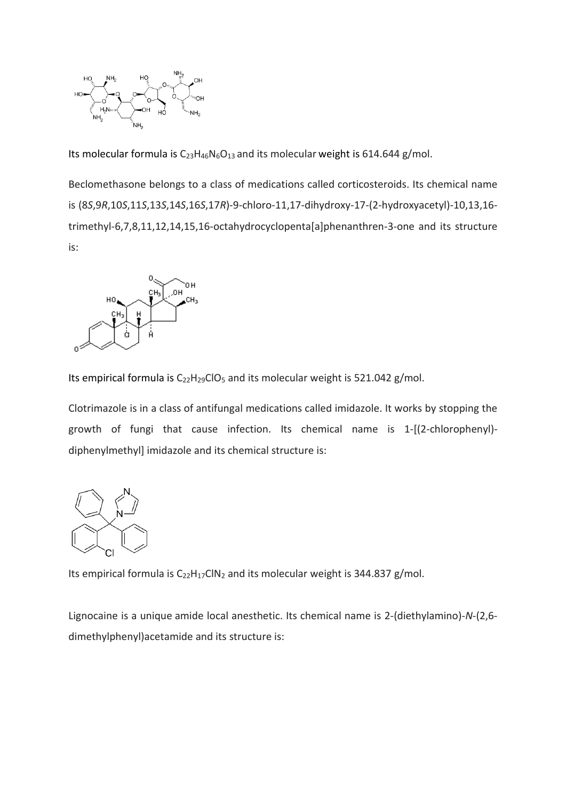

Its molecular formula is  $C_{23}H_{46}N_6O_{13}$  and its molecular weight is 614.644 g/mol.

Beclomethasone belongs to a class of medications called corticosteroids. Its chemical name is (8*S*,9*R*,10*S*,11*S*,13*S*,14*S*,16*S*,17*R*)-9-chloro-11,17-dihydroxy-17-(2-hydroxyacetyl)-10,13,16 trimethyl-6,7,8,11,12,14,15,16-octahydrocyclopenta[a]phenanthren-3-one and its structure is:



Its empirical formula is C<sub>22</sub>H<sub>29</sub>ClO<sub>5</sub> and its molecular weight is 521.042 g/mol.

Clotrimazole is in a class of antifungal medications called imidazole. It works by stopping the growth of fungi that cause infection. Its chemical name is 1-[(2-chlorophenyl) diphenylmethyl] imidazole and its chemical structure is:



Its empirical formula is  $C_{22}H_{17}CIN_2$  and its molecular weight is 344.837 g/mol.

Lignocaine is a unique amide local anesthetic. Its chemical name is 2-(diethylamino)-*N*-(2,6 dimethylphenyl)acetamide and its structure is: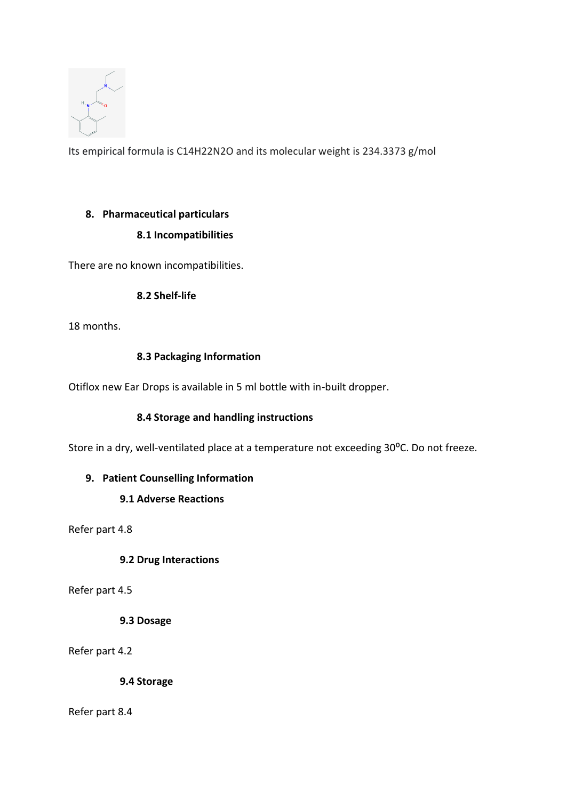

Its empirical formula is C14H22N2O and its molecular weight is 234.3373 g/mol

# **8. Pharmaceutical particulars**

## **8.1 Incompatibilities**

There are no known incompatibilities.

## **8.2 Shelf-life**

18 months.

## **8.3 Packaging Information**

Otiflox new Ear Drops is available in 5 ml bottle with in-built dropper.

# **8.4 Storage and handling instructions**

Store in a dry, well-ventilated place at a temperature not exceeding 30°C. Do not freeze.

# **9. Patient Counselling Information**

## **9.1 Adverse Reactions**

Refer part 4.8

# **9.2 Drug Interactions**

Refer part 4.5

**9.3 Dosage**

Refer part 4.2

**9.4 Storage**

Refer part 8.4